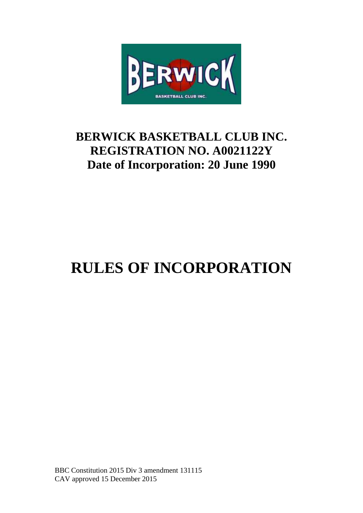

# **BERWICK BASKETBALL CLUB INC. REGISTRATION NO. A0021122Y Date of Incorporation: 20 June 1990**

# **RULES OF INCORPORATION**

BBC Constitution 2015 Div 3 amendment 131115 CAV approved 15 December 2015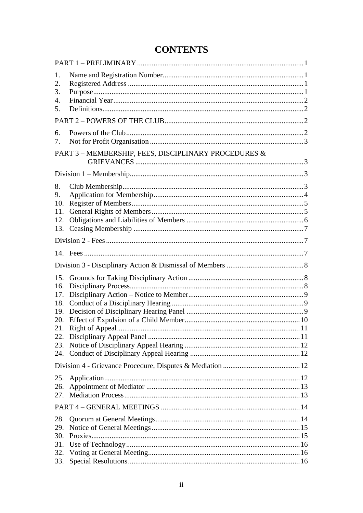## **CONTENTS**

| 1.<br>2.<br>3.<br>4.<br>5.                           |  |  |  |  |
|------------------------------------------------------|--|--|--|--|
|                                                      |  |  |  |  |
| 6.<br>7.                                             |  |  |  |  |
| PART 3 - MEMBERSHIP, FEES, DISCIPLINARY PROCEDURES & |  |  |  |  |
|                                                      |  |  |  |  |
| 8.<br>9.<br>10.<br>11.<br>12.<br>13.                 |  |  |  |  |
|                                                      |  |  |  |  |
|                                                      |  |  |  |  |
|                                                      |  |  |  |  |
| 15.<br>16.<br>17.<br>18.<br>19.<br>20.<br>21.<br>22. |  |  |  |  |
| 23.                                                  |  |  |  |  |
| 24.                                                  |  |  |  |  |
|                                                      |  |  |  |  |
| 25.<br>26.<br>27.                                    |  |  |  |  |
|                                                      |  |  |  |  |
| 28.<br>29.<br>30.<br>31.<br>32.                      |  |  |  |  |
| 33.                                                  |  |  |  |  |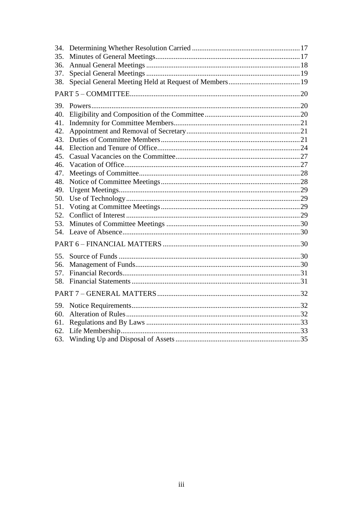| 34.<br>35.<br>36.<br>37.<br>38. |  |  |  |  |  |
|---------------------------------|--|--|--|--|--|
|                                 |  |  |  |  |  |
| 39.                             |  |  |  |  |  |
| 40.                             |  |  |  |  |  |
| 41.                             |  |  |  |  |  |
| 42.                             |  |  |  |  |  |
| 43.                             |  |  |  |  |  |
| 44.                             |  |  |  |  |  |
| 45.                             |  |  |  |  |  |
| 46.                             |  |  |  |  |  |
| 47.                             |  |  |  |  |  |
| 48.<br>49.                      |  |  |  |  |  |
| 50.                             |  |  |  |  |  |
| 51.                             |  |  |  |  |  |
| 52.                             |  |  |  |  |  |
| 53.                             |  |  |  |  |  |
| 54.                             |  |  |  |  |  |
|                                 |  |  |  |  |  |
|                                 |  |  |  |  |  |
| 55.                             |  |  |  |  |  |
| 56.                             |  |  |  |  |  |
| 57.                             |  |  |  |  |  |
| 58.                             |  |  |  |  |  |
|                                 |  |  |  |  |  |
| 59.                             |  |  |  |  |  |
| 60.                             |  |  |  |  |  |
| 61.                             |  |  |  |  |  |
| 62.                             |  |  |  |  |  |
| 63.                             |  |  |  |  |  |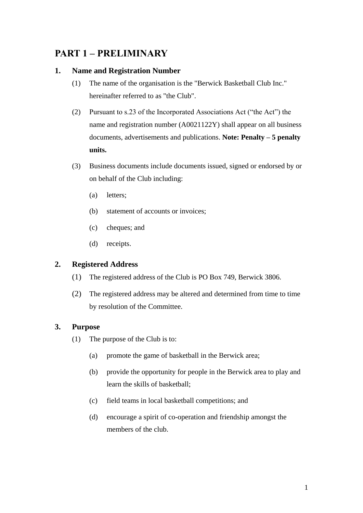## <span id="page-3-0"></span>**PART 1 – PRELIMINARY**

#### <span id="page-3-1"></span>**1. Name and Registration Number**

- (1) The name of the organisation is the "Berwick Basketball Club Inc." hereinafter referred to as "the Club".
- (2) Pursuant to s.23 of the Incorporated Associations Act ("the Act") the name and registration number (A0021122Y) shall appear on all business documents, advertisements and publications. **Note: Penalty – 5 penalty units.**
- (3) Business documents include documents issued, signed or endorsed by or on behalf of the Club including:
	- (a) letters;
	- (b) statement of accounts or invoices;
	- (c) cheques; and
	- (d) receipts.

#### <span id="page-3-2"></span>**2. Registered Address**

- (1) The registered address of the Club is PO Box 749, Berwick 3806.
- (2) The registered address may be altered and determined from time to time by resolution of the Committee.

#### <span id="page-3-3"></span>**3. Purpose**

- (1) The purpose of the Club is to:
	- (a) promote the game of basketball in the Berwick area;
	- (b) provide the opportunity for people in the Berwick area to play and learn the skills of basketball;
	- (c) field teams in local basketball competitions; and
	- (d) encourage a spirit of co-operation and friendship amongst the members of the club.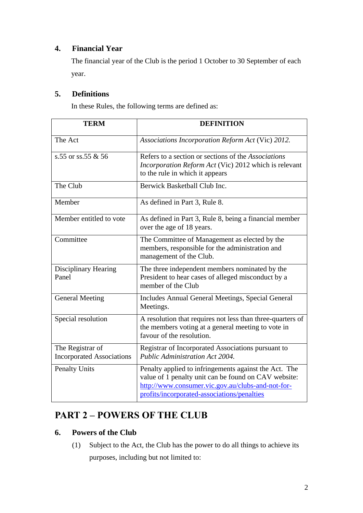## <span id="page-4-0"></span>**4. Financial Year**

The financial year of the Club is the period 1 October to 30 September of each year.

#### <span id="page-4-1"></span>**5. Definitions**

In these Rules, the following terms are defined as:

| <b>TERM</b>                                          | <b>DEFINITION</b>                                                                                                                                                                                                 |
|------------------------------------------------------|-------------------------------------------------------------------------------------------------------------------------------------------------------------------------------------------------------------------|
| The Act                                              | Associations Incorporation Reform Act (Vic) 2012.                                                                                                                                                                 |
| s.55 or ss.55 $&$ 56                                 | Refers to a section or sections of the <i>Associations</i><br>Incorporation Reform Act (Vic) 2012 which is relevant<br>to the rule in which it appears                                                            |
| The Club                                             | Berwick Basketball Club Inc.                                                                                                                                                                                      |
| Member                                               | As defined in Part 3, Rule 8.                                                                                                                                                                                     |
| Member entitled to vote                              | As defined in Part 3, Rule 8, being a financial member<br>over the age of 18 years.                                                                                                                               |
| Committee                                            | The Committee of Management as elected by the<br>members, responsible for the administration and<br>management of the Club.                                                                                       |
| Disciplinary Hearing<br>Panel                        | The three independent members nominated by the<br>President to hear cases of alleged misconduct by a<br>member of the Club                                                                                        |
| <b>General Meeting</b>                               | Includes Annual General Meetings, Special General<br>Meetings.                                                                                                                                                    |
| Special resolution                                   | A resolution that requires not less than three-quarters of<br>the members voting at a general meeting to vote in<br>favour of the resolution.                                                                     |
| The Registrar of<br><b>Incorporated Associations</b> | Registrar of Incorporated Associations pursuant to<br>Public Administration Act 2004.                                                                                                                             |
| <b>Penalty Units</b>                                 | Penalty applied to infringements against the Act. The<br>value of 1 penalty unit can be found on CAV website:<br>http://www.consumer.vic.gov.au/clubs-and-not-for-<br>profits/incorporated-associations/penalties |

# <span id="page-4-2"></span>**PART 2 – POWERS OF THE CLUB**

## <span id="page-4-3"></span>**6. Powers of the Club**

(1) Subject to the Act, the Club has the power to do all things to achieve its purposes, including but not limited to: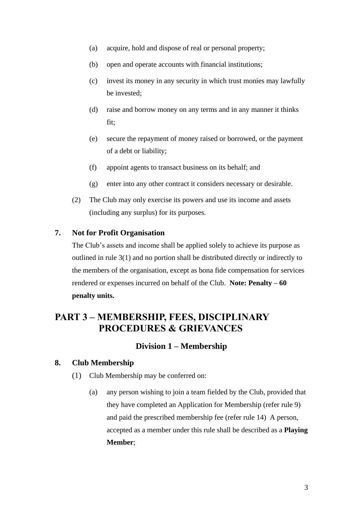- (a) acquire, hold and dispose of real or personal property;
- (b) open and operate accounts with financial institutions;
- (c) invest its money in any security in which trust monies may lawfully be invested;
- (d) raise and borrow money on any terms and in any manner it thinks fit;
- (e) secure the repayment of money raised or borrowed, or the payment of a debt or liability;
- (f) appoint agents to transact business on its behalf; and
- (g) enter into any other contract it considers necessary or desirable.
- (2) The Club may only exercise its powers and use its income and assets (including any surplus) for its purposes.

#### <span id="page-5-0"></span>**7. Not for Profit Organisation**

The Club's assets and income shall be applied solely to achieve its purpose as outlined in rule 3(1) and no portion shall be distributed directly or indirectly to the members of the organisation, except as bona fide compensation for services rendered or expenses incurred on behalf of the Club. **Note: Penalty – 60 penalty units.**

## <span id="page-5-1"></span>**PART 3 – MEMBERSHIP, FEES, DISCIPLINARY PROCEDURES & GRIEVANCES**

#### **Division 1 – Membership**

#### <span id="page-5-3"></span><span id="page-5-2"></span>**8. Club Membership**

- (1) Club Membership may be conferred on:
	- (a) any person wishing to join a team fielded by the Club, provided that they have completed an Application for Membership (refer rule 9) and paid the prescribed membership fee (refer rule 14) A person, accepted as a member under this rule shall be described as a **Playing Member**;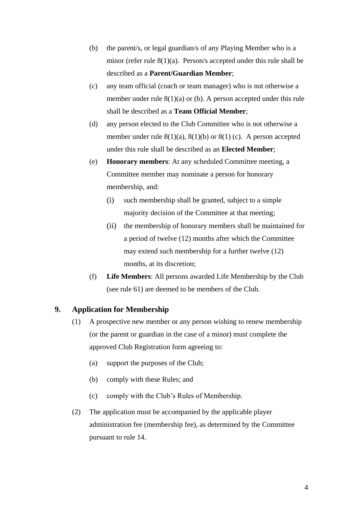- (b) the parent/s, or legal guardian/s of any Playing Member who is a minor (refer rule 8(1)(a). Person/s accepted under this rule shall be described as a **Parent/Guardian Member**;
- (c) any team official (coach or team manager) who is not otherwise a member under rule  $8(1)(a)$  or (b). A person accepted under this rule shall be described as a **Team Official Member**;
- (d) any person elected to the Club Committee who is not otherwise a member under rule  $8(1)(a)$ ,  $8(1)(b)$  or  $8(1)(c)$ . A person accepted under this rule shall be described as an **Elected Member**;
- (e) **Honorary members**: At any scheduled Committee meeting, a Committee member may nominate a person for honorary membership, and:
	- (i) such membership shall be granted, subject to a simple majority decision of the Committee at that meeting;
	- (ii) the membership of honorary members shall be maintained for a period of twelve (12) months after which the Committee may extend such membership for a further twelve (12) months, at its discretion;
- (f) **Life Members**: All persons awarded Life Membership by the Club (see rule 61) are deemed to be members of the Club.

#### <span id="page-6-0"></span>**9. Application for Membership**

- (1) A prospective new member or any person wishing to renew membership (or the parent or guardian in the case of a minor) must complete the approved Club Registration form agreeing to:
	- (a) support the purposes of the Club;
	- (b) comply with these Rules; and
	- (c) comply with the Club's Rules of Membership.
- (2) The application must be accompanied by the applicable player administration fee (membership fee), as determined by the Committee pursuant to rule 14.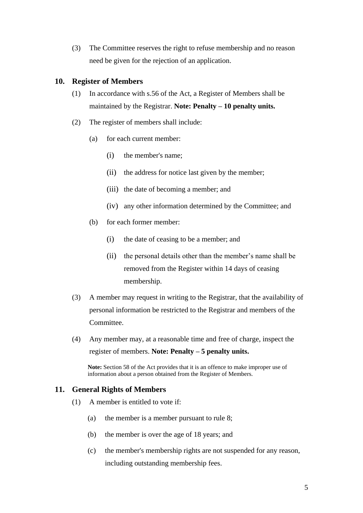(3) The Committee reserves the right to refuse membership and no reason need be given for the rejection of an application.

#### <span id="page-7-0"></span>**10. Register of Members**

- (1) In accordance with s.56 of the Act, a Register of Members shall be maintained by the Registrar. **Note: Penalty – 10 penalty units.**
- (2) The register of members shall include:
	- (a) for each current member:
		- (i) the member's name;
		- (ii) the address for notice last given by the member;
		- (iii) the date of becoming a member; and
		- (iv) any other information determined by the Committee; and
	- (b) for each former member:
		- (i) the date of ceasing to be a member; and
		- (ii) the personal details other than the member's name shall be removed from the Register within 14 days of ceasing membership.
- (3) A member may request in writing to the Registrar, that the availability of personal information be restricted to the Registrar and members of the Committee.
- (4) Any member may, at a reasonable time and free of charge, inspect the register of members. **Note: Penalty – 5 penalty units.**

**Note:** Section 58 of the Act provides that it is an offence to make improper use of information about a person obtained from the Register of Members.

#### <span id="page-7-1"></span>**11. General Rights of Members**

- (1) A member is entitled to vote if:
	- (a) the member is a member pursuant to rule 8;
	- (b) the member is over the age of 18 years; and
	- (c) the member's membership rights are not suspended for any reason, including outstanding membership fees.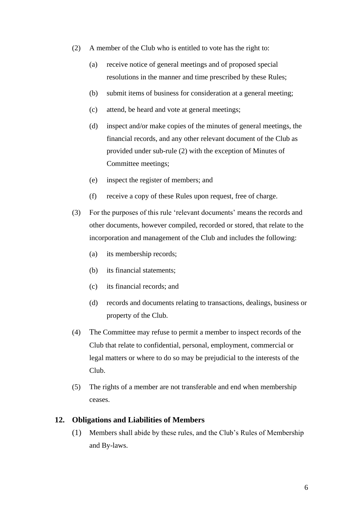- (2) A member of the Club who is entitled to vote has the right to:
	- (a) receive notice of general meetings and of proposed special resolutions in the manner and time prescribed by these Rules;
	- (b) submit items of business for consideration at a general meeting;
	- (c) attend, be heard and vote at general meetings;
	- (d) inspect and/or make copies of the minutes of general meetings, the financial records, and any other relevant document of the Club as provided under sub-rule (2) with the exception of Minutes of Committee meetings;
	- (e) inspect the register of members; and
	- (f) receive a copy of these Rules upon request, free of charge.
- (3) For the purposes of this rule 'relevant documents' means the records and other documents, however compiled, recorded or stored, that relate to the incorporation and management of the Club and includes the following:
	- (a) its membership records;
	- (b) its financial statements;
	- (c) its financial records; and
	- (d) records and documents relating to transactions, dealings, business or property of the Club.
- (4) The Committee may refuse to permit a member to inspect records of the Club that relate to confidential, personal, employment, commercial or legal matters or where to do so may be prejudicial to the interests of the Club.
- (5) The rights of a member are not transferable and end when membership ceases.

#### <span id="page-8-0"></span>**12. Obligations and Liabilities of Members**

(1) Members shall abide by these rules, and the Club's Rules of Membership and By-laws.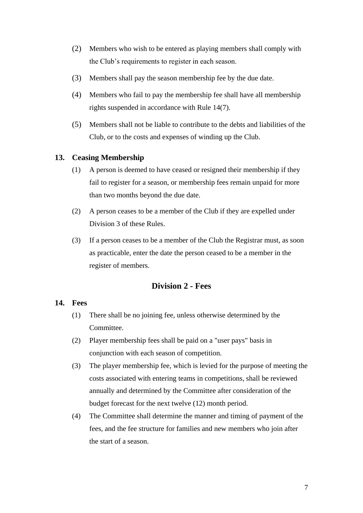- (2) Members who wish to be entered as playing members shall comply with the Club's requirements to register in each season.
- (3) Members shall pay the season membership fee by the due date.
- (4) Members who fail to pay the membership fee shall have all membership rights suspended in accordance with Rule 14(7).
- (5) Members shall not be liable to contribute to the debts and liabilities of the Club, or to the costs and expenses of winding up the Club.

#### <span id="page-9-0"></span>**13. Ceasing Membership**

- (1) A person is deemed to have ceased or resigned their membership if they fail to register for a season, or membership fees remain unpaid for more than two months beyond the due date.
- (2) A person ceases to be a member of the Club if they are expelled under Division 3 of these Rules.
- (3) If a person ceases to be a member of the Club the Registrar must, as soon as practicable, enter the date the person ceased to be a member in the register of members.

#### **Division 2 - Fees**

#### <span id="page-9-2"></span><span id="page-9-1"></span>**14. Fees**

- (1) There shall be no joining fee, unless otherwise determined by the Committee.
- (2) Player membership fees shall be paid on a "user pays" basis in conjunction with each season of competition.
- (3) The player membership fee, which is levied for the purpose of meeting the costs associated with entering teams in competitions, shall be reviewed annually and determined by the Committee after consideration of the budget forecast for the next twelve (12) month period.
- (4) The Committee shall determine the manner and timing of payment of the fees, and the fee structure for families and new members who join after the start of a season.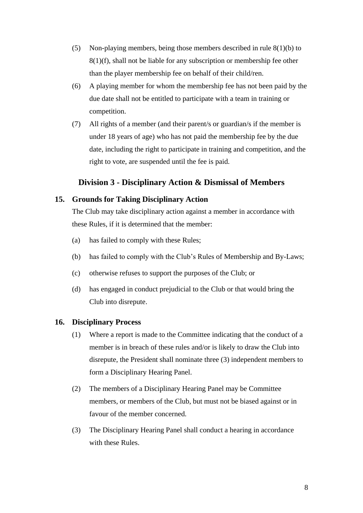- (5) Non-playing members, being those members described in rule 8(1)(b) to 8(1)(f), shall not be liable for any subscription or membership fee other than the player membership fee on behalf of their child/ren.
- (6) A playing member for whom the membership fee has not been paid by the due date shall not be entitled to participate with a team in training or competition.
- (7) All rights of a member (and their parent/s or guardian/s if the member is under 18 years of age) who has not paid the membership fee by the due date, including the right to participate in training and competition, and the right to vote, are suspended until the fee is paid.

#### **Division 3 - Disciplinary Action & Dismissal of Members**

#### <span id="page-10-1"></span><span id="page-10-0"></span>**15. Grounds for Taking Disciplinary Action**

The Club may take disciplinary action against a member in accordance with these Rules, if it is determined that the member:

- (a) has failed to comply with these Rules;
- (b) has failed to comply with the Club's Rules of Membership and By-Laws;
- (c) otherwise refuses to support the purposes of the Club; or
- (d) has engaged in conduct prejudicial to the Club or that would bring the Club into disrepute.

#### <span id="page-10-2"></span>**16. Disciplinary Process**

- (1) Where a report is made to the Committee indicating that the conduct of a member is in breach of these rules and/or is likely to draw the Club into disrepute, the President shall nominate three (3) independent members to form a Disciplinary Hearing Panel.
- (2) The members of a Disciplinary Hearing Panel may be Committee members, or members of the Club, but must not be biased against or in favour of the member concerned.
- (3) The Disciplinary Hearing Panel shall conduct a hearing in accordance with these Rules.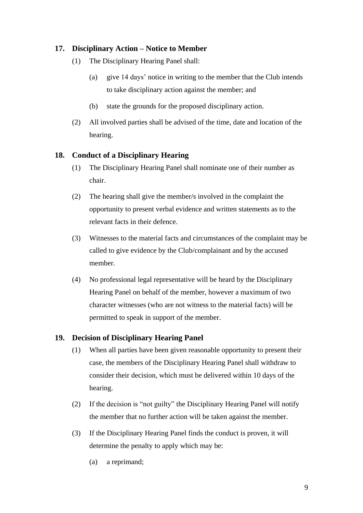#### <span id="page-11-0"></span>**17. Disciplinary Action – Notice to Member**

- (1) The Disciplinary Hearing Panel shall:
	- (a) give 14 days' notice in writing to the member that the Club intends to take disciplinary action against the member; and
	- (b) state the grounds for the proposed disciplinary action.
- (2) All involved parties shall be advised of the time, date and location of the hearing.

#### <span id="page-11-1"></span>**18. Conduct of a Disciplinary Hearing**

- (1) The Disciplinary Hearing Panel shall nominate one of their number as chair.
- (2) The hearing shall give the member/s involved in the complaint the opportunity to present verbal evidence and written statements as to the relevant facts in their defence.
- (3) Witnesses to the material facts and circumstances of the complaint may be called to give evidence by the Club/complainant and by the accused member.
- (4) No professional legal representative will be heard by the Disciplinary Hearing Panel on behalf of the member, however a maximum of two character witnesses (who are not witness to the material facts) will be permitted to speak in support of the member.

#### <span id="page-11-2"></span>**19. Decision of Disciplinary Hearing Panel**

- (1) When all parties have been given reasonable opportunity to present their case, the members of the Disciplinary Hearing Panel shall withdraw to consider their decision, which must be delivered within 10 days of the hearing.
- (2) If the decision is "not guilty" the Disciplinary Hearing Panel will notify the member that no further action will be taken against the member.
- (3) If the Disciplinary Hearing Panel finds the conduct is proven, it will determine the penalty to apply which may be:
	- (a) a reprimand;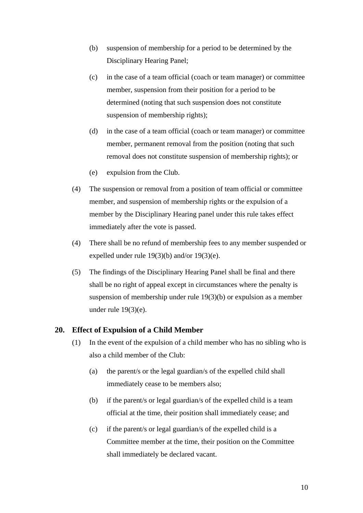- (b) suspension of membership for a period to be determined by the Disciplinary Hearing Panel;
- (c) in the case of a team official (coach or team manager) or committee member, suspension from their position for a period to be determined (noting that such suspension does not constitute suspension of membership rights);
- (d) in the case of a team official (coach or team manager) or committee member, permanent removal from the position (noting that such removal does not constitute suspension of membership rights); or
- (e) expulsion from the Club.
- (4) The suspension or removal from a position of team official or committee member, and suspension of membership rights or the expulsion of a member by the Disciplinary Hearing panel under this rule takes effect immediately after the vote is passed.
- (4) There shall be no refund of membership fees to any member suspended or expelled under rule 19(3)(b) and/or 19(3)(e).
- (5) The findings of the Disciplinary Hearing Panel shall be final and there shall be no right of appeal except in circumstances where the penalty is suspension of membership under rule 19(3)(b) or expulsion as a member under rule 19(3)(e).

#### <span id="page-12-0"></span>**20. Effect of Expulsion of a Child Member**

- (1) In the event of the expulsion of a child member who has no sibling who is also a child member of the Club:
	- (a) the parent/s or the legal guardian/s of the expelled child shall immediately cease to be members also;
	- (b) if the parent/s or legal guardian/s of the expelled child is a team official at the time, their position shall immediately cease; and
	- (c) if the parent/s or legal guardian/s of the expelled child is a Committee member at the time, their position on the Committee shall immediately be declared vacant.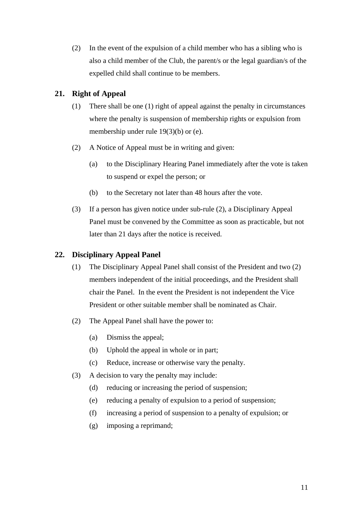(2) In the event of the expulsion of a child member who has a sibling who is also a child member of the Club, the parent/s or the legal guardian/s of the expelled child shall continue to be members.

#### <span id="page-13-0"></span>**21. Right of Appeal**

- (1) There shall be one (1) right of appeal against the penalty in circumstances where the penalty is suspension of membership rights or expulsion from membership under rule 19(3)(b) or (e).
- (2) A Notice of Appeal must be in writing and given:
	- (a) to the Disciplinary Hearing Panel immediately after the vote is taken to suspend or expel the person; or
	- (b) to the Secretary not later than 48 hours after the vote.
- (3) If a person has given notice under sub-rule (2), a Disciplinary Appeal Panel must be convened by the Committee as soon as practicable, but not later than 21 days after the notice is received.

#### <span id="page-13-1"></span>**22. Disciplinary Appeal Panel**

- (1) The Disciplinary Appeal Panel shall consist of the President and two (2) members independent of the initial proceedings, and the President shall chair the Panel. In the event the President is not independent the Vice President or other suitable member shall be nominated as Chair.
- (2) The Appeal Panel shall have the power to:
	- (a) Dismiss the appeal;
	- (b) Uphold the appeal in whole or in part;
	- (c) Reduce, increase or otherwise vary the penalty.
- (3) A decision to vary the penalty may include:
	- (d) reducing or increasing the period of suspension;
	- (e) reducing a penalty of expulsion to a period of suspension;
	- (f) increasing a period of suspension to a penalty of expulsion; or
	- (g) imposing a reprimand;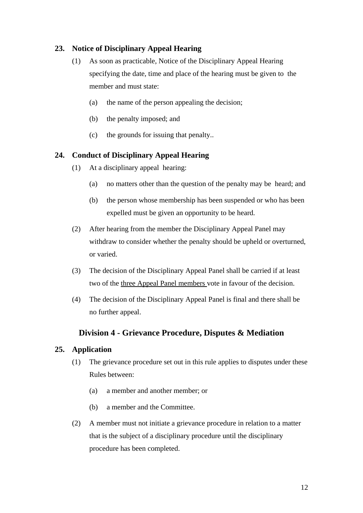#### <span id="page-14-0"></span>**23. Notice of Disciplinary Appeal Hearing**

- (1) As soon as practicable, Notice of the Disciplinary Appeal Hearing specifying the date, time and place of the hearing must be given to the member and must state:
	- (a) the name of the person appealing the decision;
	- (b) the penalty imposed; and
	- (c) the grounds for issuing that penalty..

#### <span id="page-14-1"></span>**24. Conduct of Disciplinary Appeal Hearing**

- (1) At a disciplinary appeal hearing:
	- (a) no matters other than the question of the penalty may be heard; and
	- (b) the person whose membership has been suspended or who has been expelled must be given an opportunity to be heard.
- (2) After hearing from the member the Disciplinary Appeal Panel may withdraw to consider whether the penalty should be upheld or overturned, or varied.
- (3) The decision of the Disciplinary Appeal Panel shall be carried if at least two of the three Appeal Panel members vote in favour of the decision.
- (4) The decision of the Disciplinary Appeal Panel is final and there shall be no further appeal.

#### **Division 4 - Grievance Procedure, Disputes & Mediation**

#### <span id="page-14-3"></span><span id="page-14-2"></span>**25. Application**

- (1) The grievance procedure set out in this rule applies to disputes under these Rules between:
	- (a) a member and another member; or
	- (b) a member and the Committee.
- (2) A member must not initiate a grievance procedure in relation to a matter that is the subject of a disciplinary procedure until the disciplinary procedure has been completed.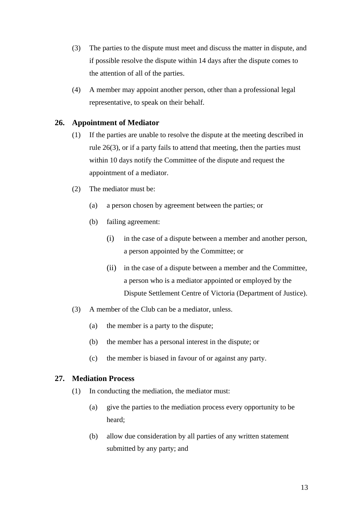- (3) The parties to the dispute must meet and discuss the matter in dispute, and if possible resolve the dispute within 14 days after the dispute comes to the attention of all of the parties.
- (4) A member may appoint another person, other than a professional legal representative, to speak on their behalf.

#### <span id="page-15-0"></span>**26. Appointment of Mediator**

- (1) If the parties are unable to resolve the dispute at the meeting described in rule 26(3), or if a party fails to attend that meeting, then the parties must within 10 days notify the Committee of the dispute and request the appointment of a mediator.
- (2) The mediator must be:
	- (a) a person chosen by agreement between the parties; or
	- (b) failing agreement:
		- (i) in the case of a dispute between a member and another person, a person appointed by the Committee; or
		- (ii) in the case of a dispute between a member and the Committee, a person who is a mediator appointed or employed by the Dispute Settlement Centre of Victoria (Department of Justice).
- (3) A member of the Club can be a mediator, unless.
	- (a) the member is a party to the dispute;
	- (b) the member has a personal interest in the dispute; or
	- (c) the member is biased in favour of or against any party.

#### <span id="page-15-1"></span>**27. Mediation Process**

- (1) In conducting the mediation, the mediator must:
	- (a) give the parties to the mediation process every opportunity to be heard;
	- (b) allow due consideration by all parties of any written statement submitted by any party; and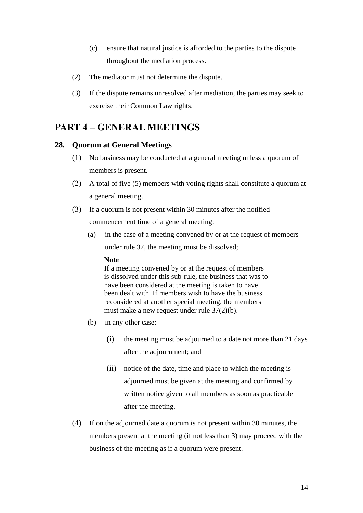- (c) ensure that natural justice is afforded to the parties to the dispute throughout the mediation process.
- (2) The mediator must not determine the dispute.
- (3) If the dispute remains unresolved after mediation, the parties may seek to exercise their Common Law rights.

## <span id="page-16-0"></span>**PART 4 – GENERAL MEETINGS**

#### <span id="page-16-1"></span>**28. Quorum at General Meetings**

- (1) No business may be conducted at a general meeting unless a quorum of members is present.
- (2) A total of five (5) members with voting rights shall constitute a quorum at a general meeting.
- (3) If a quorum is not present within 30 minutes after the notified commencement time of a general meeting:
	- (a) in the case of a meeting convened by or at the request of members under rule 37, the meeting must be dissolved;

#### **Note**

If a meeting convened by or at the request of members is dissolved under this sub-rule, the business that was to have been considered at the meeting is taken to have been dealt with. If members wish to have the business reconsidered at another special meeting, the members must make a new request under rule 37(2)(b).

- (b) in any other case:
	- (i) the meeting must be adjourned to a date not more than 21 days after the adjournment; and
	- (ii) notice of the date, time and place to which the meeting is adjourned must be given at the meeting and confirmed by written notice given to all members as soon as practicable after the meeting.
- (4) If on the adjourned date a quorum is not present within 30 minutes, the members present at the meeting (if not less than 3) may proceed with the business of the meeting as if a quorum were present.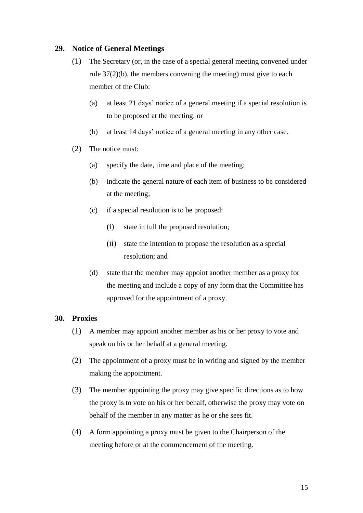#### <span id="page-17-0"></span>**29. Notice of General Meetings**

- (1) The Secretary (or, in the case of a special general meeting convened under rule 37(2)(b), the members convening the meeting) must give to each member of the Club:
	- (a) at least 21 days' notice of a general meeting if a special resolution is to be proposed at the meeting; or
	- (b) at least 14 days' notice of a general meeting in any other case.
- (2) The notice must:
	- (a) specify the date, time and place of the meeting;
	- (b) indicate the general nature of each item of business to be considered at the meeting;
	- (c) if a special resolution is to be proposed:
		- (i) state in full the proposed resolution;
		- (ii) state the intention to propose the resolution as a special resolution; and
	- (d) state that the member may appoint another member as a proxy for the meeting and include a copy of any form that the Committee has approved for the appointment of a proxy.

#### <span id="page-17-1"></span>**30. Proxies**

- (1) A member may appoint another member as his or her proxy to vote and speak on his or her behalf at a general meeting.
- (2) The appointment of a proxy must be in writing and signed by the member making the appointment.
- (3) The member appointing the proxy may give specific directions as to how the proxy is to vote on his or her behalf, otherwise the proxy may vote on behalf of the member in any matter as he or she sees fit.
- (4) A form appointing a proxy must be given to the Chairperson of the meeting before or at the commencement of the meeting.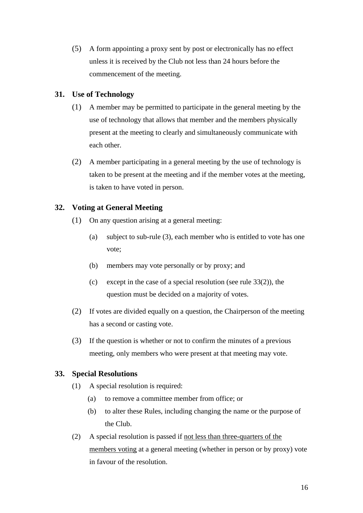(5) A form appointing a proxy sent by post or electronically has no effect unless it is received by the Club not less than 24 hours before the commencement of the meeting.

#### <span id="page-18-0"></span>**31. Use of Technology**

- (1) A member may be permitted to participate in the general meeting by the use of technology that allows that member and the members physically present at the meeting to clearly and simultaneously communicate with each other.
- (2) A member participating in a general meeting by the use of technology is taken to be present at the meeting and if the member votes at the meeting, is taken to have voted in person.

#### <span id="page-18-1"></span>**32. Voting at General Meeting**

- (1) On any question arising at a general meeting:
	- (a) subject to sub-rule (3), each member who is entitled to vote has one vote;
	- (b) members may vote personally or by proxy; and
	- (c) except in the case of a special resolution (see rule 33(2)), the question must be decided on a majority of votes.
- (2) If votes are divided equally on a question, the Chairperson of the meeting has a second or casting vote.
- (3) If the question is whether or not to confirm the minutes of a previous meeting, only members who were present at that meeting may vote.

#### <span id="page-18-2"></span>**33. Special Resolutions**

- (1) A special resolution is required:
	- (a) to remove a committee member from office; or
	- (b) to alter these Rules, including changing the name or the purpose of the Club.
- (2) A special resolution is passed if not less than three-quarters of the members voting at a general meeting (whether in person or by proxy) vote in favour of the resolution.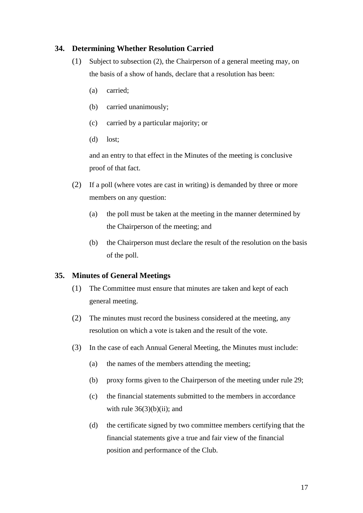#### <span id="page-19-0"></span>**34. Determining Whether Resolution Carried**

- (1) Subject to subsection (2), the Chairperson of a general meeting may, on the basis of a show of hands, declare that a resolution has been:
	- (a) carried;
	- (b) carried unanimously;
	- (c) carried by a particular majority; or
	- (d) lost;

and an entry to that effect in the Minutes of the meeting is conclusive proof of that fact.

- (2) If a poll (where votes are cast in writing) is demanded by three or more members on any question:
	- (a) the poll must be taken at the meeting in the manner determined by the Chairperson of the meeting; and
	- (b) the Chairperson must declare the result of the resolution on the basis of the poll.

#### <span id="page-19-1"></span>**35. Minutes of General Meetings**

- (1) The Committee must ensure that minutes are taken and kept of each general meeting.
- (2) The minutes must record the business considered at the meeting, any resolution on which a vote is taken and the result of the vote.
- (3) In the case of each Annual General Meeting, the Minutes must include:
	- (a) the names of the members attending the meeting;
	- (b) proxy forms given to the Chairperson of the meeting under rule 29;
	- (c) the financial statements submitted to the members in accordance with rule  $36(3)(b)(ii)$ ; and
	- (d) the certificate signed by two committee members certifying that the financial statements give a true and fair view of the financial position and performance of the Club.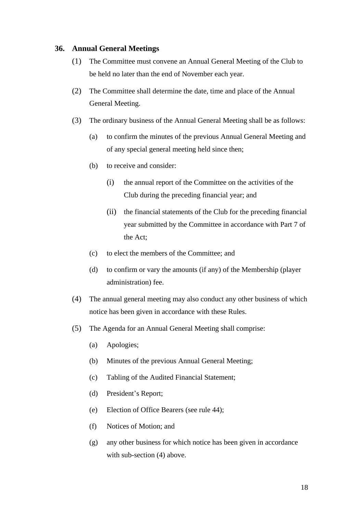#### <span id="page-20-0"></span>**36. Annual General Meetings**

- (1) The Committee must convene an Annual General Meeting of the Club to be held no later than the end of November each year.
- (2) The Committee shall determine the date, time and place of the Annual General Meeting.
- (3) The ordinary business of the Annual General Meeting shall be as follows:
	- (a) to confirm the minutes of the previous Annual General Meeting and of any special general meeting held since then;
	- (b) to receive and consider:
		- (i) the annual report of the Committee on the activities of the Club during the preceding financial year; and
		- (ii) the financial statements of the Club for the preceding financial year submitted by the Committee in accordance with Part 7 of the Act;
	- (c) to elect the members of the Committee; and
	- (d) to confirm or vary the amounts (if any) of the Membership (player administration) fee.
- (4) The annual general meeting may also conduct any other business of which notice has been given in accordance with these Rules.
- (5) The Agenda for an Annual General Meeting shall comprise:
	- (a) Apologies;
	- (b) Minutes of the previous Annual General Meeting;
	- (c) Tabling of the Audited Financial Statement;
	- (d) President's Report;
	- (e) Election of Office Bearers (see rule 44);
	- (f) Notices of Motion; and
	- (g) any other business for which notice has been given in accordance with sub-section (4) above.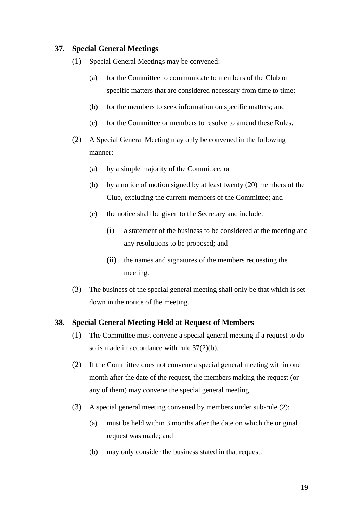#### <span id="page-21-0"></span>**37. Special General Meetings**

- (1) Special General Meetings may be convened:
	- (a) for the Committee to communicate to members of the Club on specific matters that are considered necessary from time to time;
	- (b) for the members to seek information on specific matters; and
	- (c) for the Committee or members to resolve to amend these Rules.
- (2) A Special General Meeting may only be convened in the following manner:
	- (a) by a simple majority of the Committee; or
	- (b) by a notice of motion signed by at least twenty (20) members of the Club, excluding the current members of the Committee; and
	- (c) the notice shall be given to the Secretary and include:
		- (i) a statement of the business to be considered at the meeting and any resolutions to be proposed; and
		- (ii) the names and signatures of the members requesting the meeting.
- (3) The business of the special general meeting shall only be that which is set down in the notice of the meeting.

#### <span id="page-21-1"></span>**38. Special General Meeting Held at Request of Members**

- (1) The Committee must convene a special general meeting if a request to do so is made in accordance with rule 37(2)(b).
- (2) If the Committee does not convene a special general meeting within one month after the date of the request, the members making the request (or any of them) may convene the special general meeting.
- (3) A special general meeting convened by members under sub-rule (2):
	- (a) must be held within 3 months after the date on which the original request was made; and
	- (b) may only consider the business stated in that request.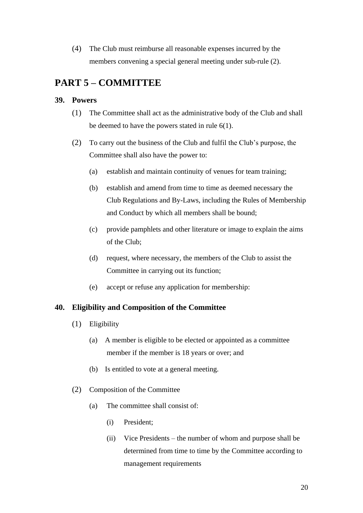(4) The Club must reimburse all reasonable expenses incurred by the members convening a special general meeting under sub-rule (2).

## <span id="page-22-0"></span>**PART 5 – COMMITTEE**

#### <span id="page-22-1"></span>**39. Powers**

- (1) The Committee shall act as the administrative body of the Club and shall be deemed to have the powers stated in rule 6(1).
- (2) To carry out the business of the Club and fulfil the Club's purpose, the Committee shall also have the power to:
	- (a) establish and maintain continuity of venues for team training;
	- (b) establish and amend from time to time as deemed necessary the Club Regulations and By-Laws, including the Rules of Membership and Conduct by which all members shall be bound;
	- (c) provide pamphlets and other literature or image to explain the aims of the Club;
	- (d) request, where necessary, the members of the Club to assist the Committee in carrying out its function;
	- (e) accept or refuse any application for membership:

#### <span id="page-22-2"></span>**40. Eligibility and Composition of the Committee**

- (1) Eligibility
	- (a) A member is eligible to be elected or appointed as a committee member if the member is 18 years or over; and
	- (b) Is entitled to vote at a general meeting.
- (2) Composition of the Committee
	- (a) The committee shall consist of:
		- (i) President;
		- (ii) Vice Presidents the number of whom and purpose shall be determined from time to time by the Committee according to management requirements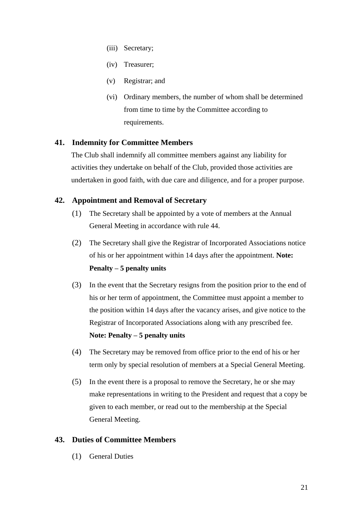- (iii) Secretary;
- (iv) Treasurer;
- (v) Registrar; and
- (vi) Ordinary members, the number of whom shall be determined from time to time by the Committee according to requirements.

#### <span id="page-23-0"></span>**41. Indemnity for Committee Members**

The Club shall indemnify all committee members against any liability for activities they undertake on behalf of the Club, provided those activities are undertaken in good faith, with due care and diligence, and for a proper purpose.

#### <span id="page-23-1"></span>**42. Appointment and Removal of Secretary**

- (1) The Secretary shall be appointed by a vote of members at the Annual General Meeting in accordance with rule 44.
- (2) The Secretary shall give the Registrar of Incorporated Associations notice of his or her appointment within 14 days after the appointment. **Note: Penalty – 5 penalty units**
- (3) In the event that the Secretary resigns from the position prior to the end of his or her term of appointment, the Committee must appoint a member to the position within 14 days after the vacancy arises, and give notice to the Registrar of Incorporated Associations along with any prescribed fee. **Note: Penalty – 5 penalty units**
- (4) The Secretary may be removed from office prior to the end of his or her term only by special resolution of members at a Special General Meeting.
- (5) In the event there is a proposal to remove the Secretary, he or she may make representations in writing to the President and request that a copy be given to each member, or read out to the membership at the Special General Meeting.

#### <span id="page-23-2"></span>**43. Duties of Committee Members**

(1) General Duties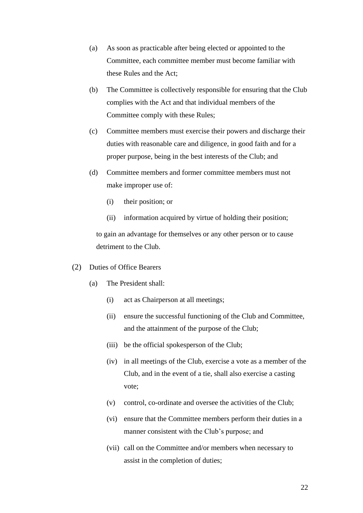- (a) As soon as practicable after being elected or appointed to the Committee, each committee member must become familiar with these Rules and the Act;
- (b) The Committee is collectively responsible for ensuring that the Club complies with the Act and that individual members of the Committee comply with these Rules;
- (c) Committee members must exercise their powers and discharge their duties with reasonable care and diligence, in good faith and for a proper purpose, being in the best interests of the Club; and
- (d) Committee members and former committee members must not make improper use of:
	- (i) their position; or
	- (ii) information acquired by virtue of holding their position;

to gain an advantage for themselves or any other person or to cause detriment to the Club.

- (2) Duties of Office Bearers
	- (a) The President shall:
		- (i) act as Chairperson at all meetings;
		- (ii) ensure the successful functioning of the Club and Committee, and the attainment of the purpose of the Club;
		- (iii) be the official spokesperson of the Club;
		- (iv) in all meetings of the Club, exercise a vote as a member of the Club, and in the event of a tie, shall also exercise a casting vote;
		- (v) control, co-ordinate and oversee the activities of the Club;
		- (vi) ensure that the Committee members perform their duties in a manner consistent with the Club's purpose; and
		- (vii) call on the Committee and/or members when necessary to assist in the completion of duties;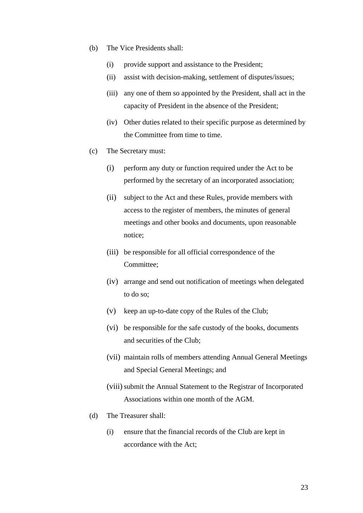- (b) The Vice Presidents shall:
	- (i) provide support and assistance to the President;
	- (ii) assist with decision-making, settlement of disputes/issues;
	- (iii) any one of them so appointed by the President, shall act in the capacity of President in the absence of the President;
	- (iv) Other duties related to their specific purpose as determined by the Committee from time to time.
- (c) The Secretary must:
	- (i) perform any duty or function required under the Act to be performed by the secretary of an incorporated association;
	- (ii) subject to the Act and these Rules, provide members with access to the register of members, the minutes of general meetings and other books and documents, upon reasonable notice;
	- (iii) be responsible for all official correspondence of the Committee;
	- (iv) arrange and send out notification of meetings when delegated to do so;
	- (v) keep an up-to-date copy of the Rules of the Club;
	- (vi) be responsible for the safe custody of the books, documents and securities of the Club;
	- (vii) maintain rolls of members attending Annual General Meetings and Special General Meetings; and
	- (viii) submit the Annual Statement to the Registrar of Incorporated Associations within one month of the AGM.
- (d) The Treasurer shall:
	- (i) ensure that the financial records of the Club are kept in accordance with the Act;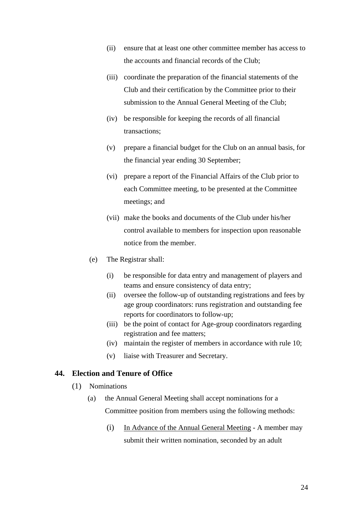- (ii) ensure that at least one other committee member has access to the accounts and financial records of the Club;
- (iii) coordinate the preparation of the financial statements of the Club and their certification by the Committee prior to their submission to the Annual General Meeting of the Club;
- (iv) be responsible for keeping the records of all financial transactions;
- (v) prepare a financial budget for the Club on an annual basis, for the financial year ending 30 September;
- (vi) prepare a report of the Financial Affairs of the Club prior to each Committee meeting, to be presented at the Committee meetings; and
- (vii) make the books and documents of the Club under his/her control available to members for inspection upon reasonable notice from the member.
- (e) The Registrar shall:
	- (i) be responsible for data entry and management of players and teams and ensure consistency of data entry;
	- (ii) oversee the follow-up of outstanding registrations and fees by age group coordinators: runs registration and outstanding fee reports for coordinators to follow-up;
	- (iii) be the point of contact for Age-group coordinators regarding registration and fee matters;
	- (iv) maintain the register of members in accordance with rule 10;
	- (v) liaise with Treasurer and Secretary.

#### <span id="page-26-0"></span>**44. Election and Tenure of Office**

- (1) Nominations
	- (a) the Annual General Meeting shall accept nominations for a Committee position from members using the following methods:
		- (i) In Advance of the Annual General Meeting A member may submit their written nomination, seconded by an adult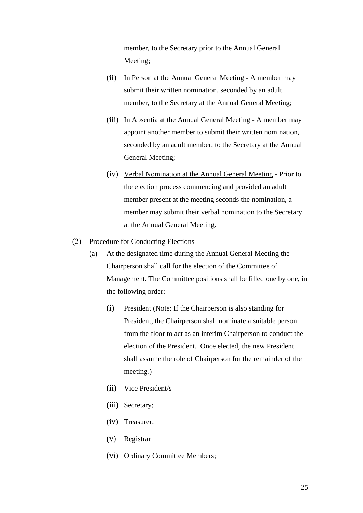member, to the Secretary prior to the Annual General Meeting;

- (ii) In Person at the Annual General Meeting A member may submit their written nomination, seconded by an adult member, to the Secretary at the Annual General Meeting;
- (iii) In Absentia at the Annual General Meeting A member may appoint another member to submit their written nomination, seconded by an adult member, to the Secretary at the Annual General Meeting;
- (iv) Verbal Nomination at the Annual General Meeting Prior to the election process commencing and provided an adult member present at the meeting seconds the nomination, a member may submit their verbal nomination to the Secretary at the Annual General Meeting.
- (2) Procedure for Conducting Elections
	- (a) At the designated time during the Annual General Meeting the Chairperson shall call for the election of the Committee of Management. The Committee positions shall be filled one by one, in the following order:
		- (i) President (Note: If the Chairperson is also standing for President, the Chairperson shall nominate a suitable person from the floor to act as an interim Chairperson to conduct the election of the President. Once elected, the new President shall assume the role of Chairperson for the remainder of the meeting.)
		- (ii) Vice President/s
		- (iii) Secretary;
		- (iv) Treasurer;
		- (v) Registrar
		- (vi) Ordinary Committee Members;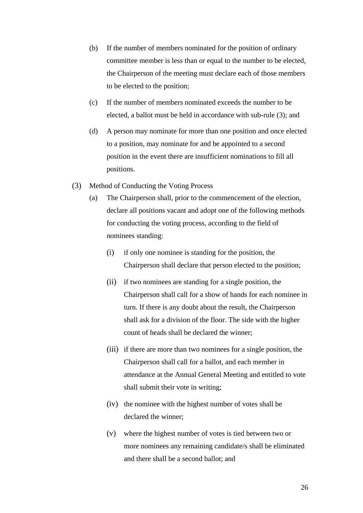- (b) If the number of members nominated for the position of ordinary committee member is less than or equal to the number to be elected, the Chairperson of the meeting must declare each of those members to be elected to the position;
- (c) If the number of members nominated exceeds the number to be elected, a ballot must be held in accordance with sub-rule (3); and
- (d) A person may nominate for more than one position and once elected to a position, may nominate for and be appointed to a second position in the event there are insufficient nominations to fill all positions.
- (3) Method of Conducting the Voting Process
	- (a) The Chairperson shall, prior to the commencement of the election, declare all positions vacant and adopt one of the following methods for conducting the voting process, according to the field of nominees standing:
		- (i) if only one nominee is standing for the position, the Chairperson shall declare that person elected to the position;
		- (ii) if two nominees are standing for a single position, the Chairperson shall call for a show of hands for each nominee in turn. If there is any doubt about the result, the Chairperson shall ask for a division of the floor. The side with the higher count of heads shall be declared the winner;
		- (iii) if there are more than two nominees for a single position, the Chairperson shall call for a ballot, and each member in attendance at the Annual General Meeting and entitled to vote shall submit their vote in writing;
		- (iv) the nominee with the highest number of votes shall be declared the winner;
		- (v) where the highest number of votes is tied between two or more nominees any remaining candidate/s shall be eliminated and there shall be a second ballot; and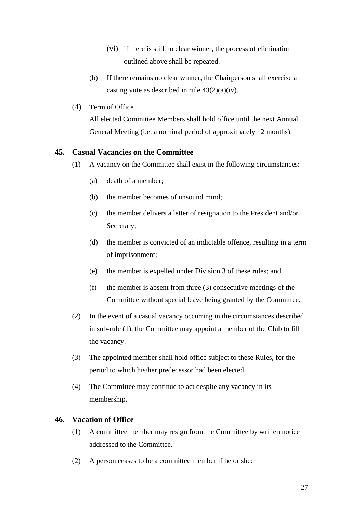- (vi) if there is still no clear winner, the process of elimination outlined above shall be repeated.
- (b) If there remains no clear winner, the Chairperson shall exercise a casting vote as described in rule  $43(2)(a)(iv)$ .
- (4) Term of Office

All elected Committee Members shall hold office until the next Annual General Meeting (i.e. a nominal period of approximately 12 months).

#### <span id="page-29-0"></span>**45. Casual Vacancies on the Committee**

- (1) A vacancy on the Committee shall exist in the following circumstances:
	- (a) death of a member;
	- (b) the member becomes of unsound mind;
	- (c) the member delivers a letter of resignation to the President and/or Secretary;
	- (d) the member is convicted of an indictable offence, resulting in a term of imprisonment;
	- (e) the member is expelled under Division 3 of these rules; and
	- (f) the member is absent from three (3) consecutive meetings of the Committee without special leave being granted by the Committee.
- (2) In the event of a casual vacancy occurring in the circumstances described in sub-rule (1), the Committee may appoint a member of the Club to fill the vacancy.
- (3) The appointed member shall hold office subject to these Rules, for the period to which his/her predecessor had been elected.
- (4) The Committee may continue to act despite any vacancy in its membership.

#### <span id="page-29-1"></span>**46. Vacation of Office**

- (1) A committee member may resign from the Committee by written notice addressed to the Committee.
- (2) A person ceases to be a committee member if he or she: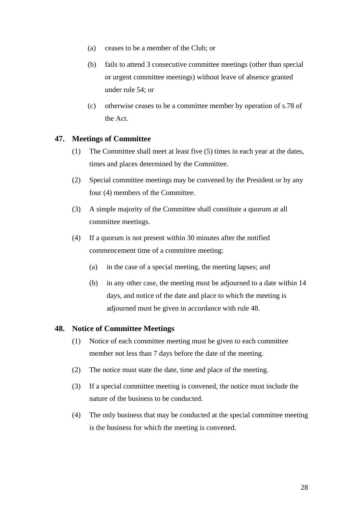- (a) ceases to be a member of the Club; or
- (b) fails to attend 3 consecutive committee meetings (other than special or urgent committee meetings) without leave of absence granted under rule 54; or
- (c) otherwise ceases to be a committee member by operation of s.78 of the Act.

#### <span id="page-30-0"></span>**47. Meetings of Committee**

- (1) The Committee shall meet at least five (5) times in each year at the dates, times and places determined by the Committee.
- (2) Special committee meetings may be convened by the President or by any four (4) members of the Committee.
- (3) A simple majority of the Committee shall constitute a quorum at all committee meetings.
- (4) If a quorum is not present within 30 minutes after the notified commencement time of a committee meeting:
	- (a) in the case of a special meeting, the meeting lapses; and
	- (b) in any other case, the meeting must be adjourned to a date within 14 days, and notice of the date and place to which the meeting is adjourned must be given in accordance with rule 48.

#### <span id="page-30-1"></span>**48. Notice of Committee Meetings**

- (1) Notice of each committee meeting must be given to each committee member not less than 7 days before the date of the meeting.
- (2) The notice must state the date, time and place of the meeting.
- (3) If a special committee meeting is convened, the notice must include the nature of the business to be conducted.
- (4) The only business that may be conducted at the special committee meeting is the business for which the meeting is convened.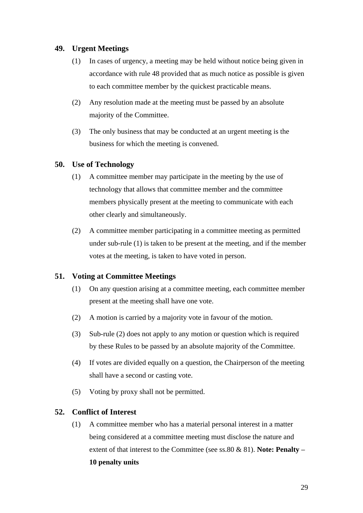#### <span id="page-31-0"></span>**49. Urgent Meetings**

- (1) In cases of urgency, a meeting may be held without notice being given in accordance with rule 48 provided that as much notice as possible is given to each committee member by the quickest practicable means.
- (2) Any resolution made at the meeting must be passed by an absolute majority of the Committee.
- (3) The only business that may be conducted at an urgent meeting is the business for which the meeting is convened.

#### <span id="page-31-1"></span>**50. Use of Technology**

- (1) A committee member may participate in the meeting by the use of technology that allows that committee member and the committee members physically present at the meeting to communicate with each other clearly and simultaneously.
- (2) A committee member participating in a committee meeting as permitted under sub-rule (1) is taken to be present at the meeting, and if the member votes at the meeting, is taken to have voted in person.

#### <span id="page-31-2"></span>**51. Voting at Committee Meetings**

- (1) On any question arising at a committee meeting, each committee member present at the meeting shall have one vote.
- (2) A motion is carried by a majority vote in favour of the motion.
- (3) Sub-rule (2) does not apply to any motion or question which is required by these Rules to be passed by an absolute majority of the Committee.
- (4) If votes are divided equally on a question, the Chairperson of the meeting shall have a second or casting vote.
- (5) Voting by proxy shall not be permitted.

#### <span id="page-31-3"></span>**52. Conflict of Interest**

(1) A committee member who has a material personal interest in a matter being considered at a committee meeting must disclose the nature and extent of that interest to the Committee (see ss.80 & 81). **Note: Penalty –**

#### **10 penalty units**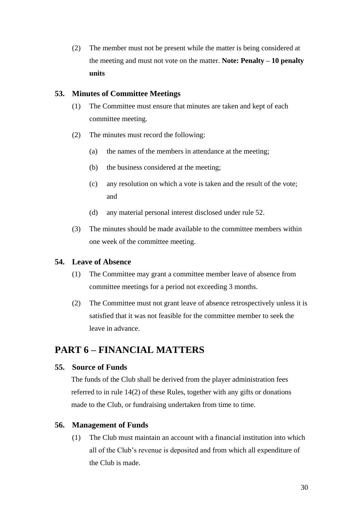(2) The member must not be present while the matter is being considered at the meeting and must not vote on the matter. **Note: Penalty – 10 penalty units**

#### <span id="page-32-0"></span>**53. Minutes of Committee Meetings**

- (1) The Committee must ensure that minutes are taken and kept of each committee meeting.
- (2) The minutes must record the following:
	- (a) the names of the members in attendance at the meeting;
	- (b) the business considered at the meeting;
	- (c) any resolution on which a vote is taken and the result of the vote; and
	- (d) any material personal interest disclosed under rule 52.
- (3) The minutes should be made available to the committee members within one week of the committee meeting.

#### <span id="page-32-1"></span>**54. Leave of Absence**

- (1) The Committee may grant a committee member leave of absence from committee meetings for a period not exceeding 3 months.
- (2) The Committee must not grant leave of absence retrospectively unless it is satisfied that it was not feasible for the committee member to seek the leave in advance.

## <span id="page-32-2"></span>**PART 6 – FINANCIAL MATTERS**

#### <span id="page-32-3"></span>**55. Source of Funds**

The funds of the Club shall be derived from the player administration fees referred to in rule 14(2) of these Rules, together with any gifts or donations made to the Club, or fundraising undertaken from time to time.

#### <span id="page-32-4"></span>**56. Management of Funds**

(1) The Club must maintain an account with a financial institution into which all of the Club's revenue is deposited and from which all expenditure of the Club is made.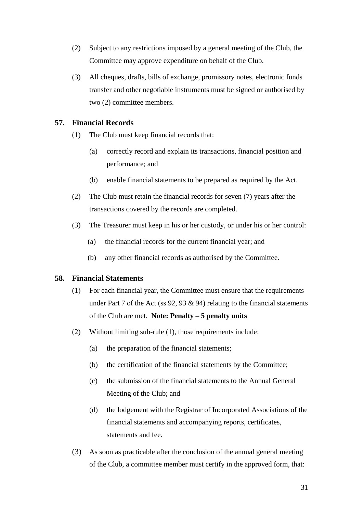- (2) Subject to any restrictions imposed by a general meeting of the Club, the Committee may approve expenditure on behalf of the Club.
- (3) All cheques, drafts, bills of exchange, promissory notes, electronic funds transfer and other negotiable instruments must be signed or authorised by two (2) committee members.

#### <span id="page-33-0"></span>**57. Financial Records**

- (1) The Club must keep financial records that:
	- (a) correctly record and explain its transactions, financial position and performance; and
	- (b) enable financial statements to be prepared as required by the Act.
- (2) The Club must retain the financial records for seven (7) years after the transactions covered by the records are completed.
- (3) The Treasurer must keep in his or her custody, or under his or her control:
	- (a) the financial records for the current financial year; and
	- (b) any other financial records as authorised by the Committee.

#### <span id="page-33-1"></span>**58. Financial Statements**

- (1) For each financial year, the Committee must ensure that the requirements under Part 7 of the Act (ss  $92, 93 \& 94$ ) relating to the financial statements of the Club are met. **Note: Penalty – 5 penalty units**
- (2) Without limiting sub-rule (1), those requirements include:
	- (a) the preparation of the financial statements;
	- (b) the certification of the financial statements by the Committee;
	- (c) the submission of the financial statements to the Annual General Meeting of the Club; and
	- (d) the lodgement with the Registrar of Incorporated Associations of the financial statements and accompanying reports, certificates, statements and fee.
- (3) As soon as practicable after the conclusion of the annual general meeting of the Club, a committee member must certify in the approved form, that: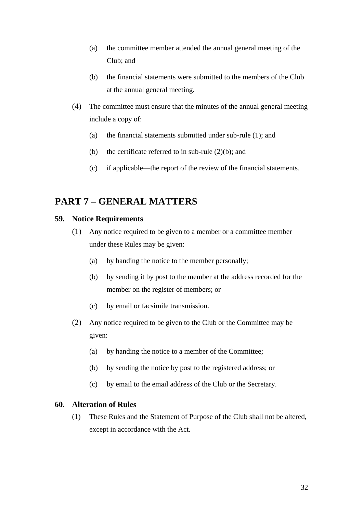- (a) the committee member attended the annual general meeting of the Club; and
- (b) the financial statements were submitted to the members of the Club at the annual general meeting.
- (4) The committee must ensure that the minutes of the annual general meeting include a copy of:
	- (a) the financial statements submitted under sub-rule (1); and
	- (b) the certificate referred to in sub-rule  $(2)(b)$ ; and
	- (c) if applicable—the report of the review of the financial statements.

## <span id="page-34-0"></span>**PART 7 – GENERAL MATTERS**

#### <span id="page-34-1"></span>**59. Notice Requirements**

- (1) Any notice required to be given to a member or a committee member under these Rules may be given:
	- (a) by handing the notice to the member personally;
	- (b) by sending it by post to the member at the address recorded for the member on the register of members; or
	- (c) by email or facsimile transmission.
- (2) Any notice required to be given to the Club or the Committee may be given:
	- (a) by handing the notice to a member of the Committee;
	- (b) by sending the notice by post to the registered address; or
	- (c) by email to the email address of the Club or the Secretary.

#### <span id="page-34-2"></span>**60. Alteration of Rules**

(1) These Rules and the Statement of Purpose of the Club shall not be altered, except in accordance with the Act.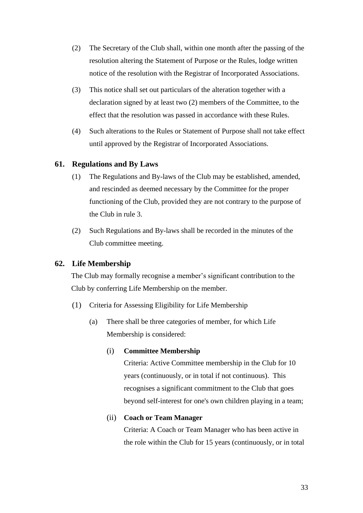- (2) The Secretary of the Club shall, within one month after the passing of the resolution altering the Statement of Purpose or the Rules, lodge written notice of the resolution with the Registrar of Incorporated Associations.
- (3) This notice shall set out particulars of the alteration together with a declaration signed by at least two (2) members of the Committee, to the effect that the resolution was passed in accordance with these Rules.
- (4) Such alterations to the Rules or Statement of Purpose shall not take effect until approved by the Registrar of Incorporated Associations.

#### <span id="page-35-0"></span>**61. Regulations and By Laws**

- (1) The Regulations and By-laws of the Club may be established, amended, and rescinded as deemed necessary by the Committee for the proper functioning of the Club, provided they are not contrary to the purpose of the Club in rule 3.
- (2) Such Regulations and By-laws shall be recorded in the minutes of the Club committee meeting.

#### <span id="page-35-1"></span>**62. Life Membership**

The Club may formally recognise a member's significant contribution to the Club by conferring Life Membership on the member.

- (1) Criteria for Assessing Eligibility for Life Membership
	- (a) There shall be three categories of member, for which Life Membership is considered:

#### (i) **Committee Membership**

Criteria: Active Committee membership in the Club for 10 years (continuously, or in total if not continuous). This recognises a significant commitment to the Club that goes beyond self-interest for one's own children playing in a team;

#### (ii) **Coach or Team Manager**

Criteria: A Coach or Team Manager who has been active in the role within the Club for 15 years (continuously, or in total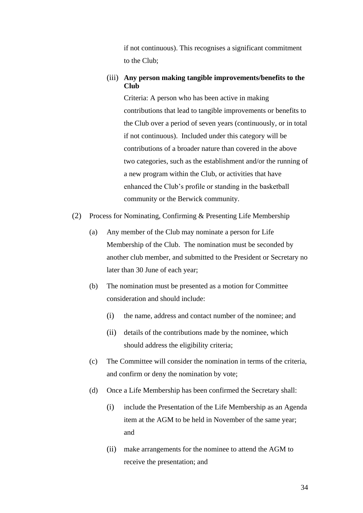if not continuous). This recognises a significant commitment to the Club;

#### (iii) **Any person making tangible improvements/benefits to the Club**

Criteria: A person who has been active in making contributions that lead to tangible improvements or benefits to the Club over a period of seven years (continuously, or in total if not continuous). Included under this category will be contributions of a broader nature than covered in the above two categories, such as the establishment and/or the running of a new program within the Club, or activities that have enhanced the Club's profile or standing in the basketball community or the Berwick community.

- (2) Process for Nominating, Confirming & Presenting Life Membership
	- (a) Any member of the Club may nominate a person for Life Membership of the Club. The nomination must be seconded by another club member, and submitted to the President or Secretary no later than 30 June of each year;
	- (b) The nomination must be presented as a motion for Committee consideration and should include:
		- (i) the name, address and contact number of the nominee; and
		- (ii) details of the contributions made by the nominee, which should address the eligibility criteria;
	- (c) The Committee will consider the nomination in terms of the criteria, and confirm or deny the nomination by vote;
	- (d) Once a Life Membership has been confirmed the Secretary shall:
		- (i) include the Presentation of the Life Membership as an Agenda item at the AGM to be held in November of the same year; and
		- (ii) make arrangements for the nominee to attend the AGM to receive the presentation; and